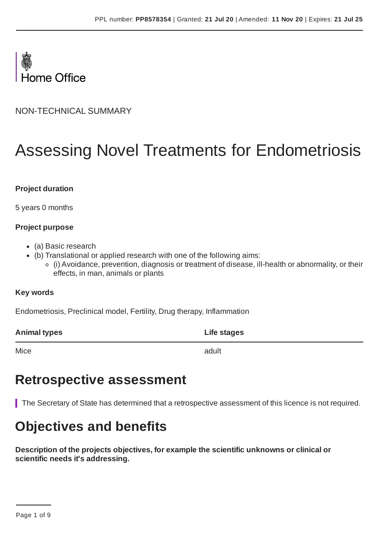

NON-TECHNICAL SUMMARY

# Assessing Novel Treatments for Endometriosis

#### **Project duration**

5 years 0 months

#### **Project purpose**

- (a) Basic research
- (b) Translational or applied research with one of the following aims:
	- (i) Avoidance, prevention, diagnosis or treatment of disease, ill-health or abnormality, or their effects, in man, animals or plants

#### **Key words**

Endometriosis, Preclinical model, Fertility, Drug therapy, Inflammation

|  | <b>Animal types</b> | Life stages |
|--|---------------------|-------------|
|--|---------------------|-------------|

Mice and the contract of the contract of the contract of the contract of the contract of the contract of the contract of the contract of the contract of the contract of the contract of the contract of the contract of the c

### **Retrospective assessment**

The Secretary of State has determined that a retrospective assessment of this licence is not required.

## **Objectives and benefits**

**Description of the projects objectives, for example the scientific unknowns or clinical or scientific needs it's addressing.**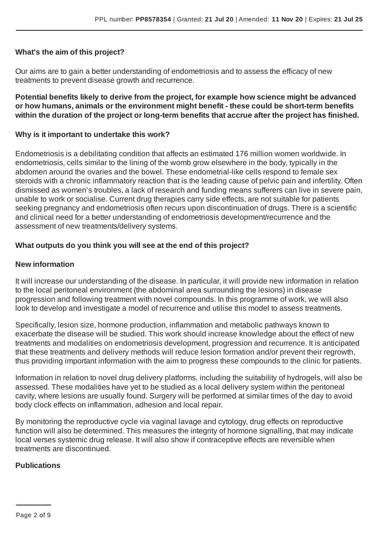#### **What's the aim of this project?**

Our aims are to gain a better understanding of endometriosis and to assess the efficacy of new treatments to prevent disease growth and recurrence.

**Potential benefits likely to derive from the project, for example how science might be advanced or how humans, animals or the environment might benefit - these could be short-term benefits within the duration of the project or long-term benefits that accrue after the project has finished.**

#### **Why is it important to undertake this work?**

Endometriosis is a debilitating condition that affects an estimated 176 million women worldwide. In endometriosis, cells similar to the lining of the womb grow elsewhere in the body, typically in the abdomen around the ovaries and the bowel. These endometrial-like cells respond to female sex steroids with a chronic inflammatory reaction that is the leading cause of pelvic pain and infertility. Often dismissed as women's troubles, a lack of research and funding means sufferers can live in severe pain, unable to work or socialise. Current drug therapies carry side effects, are not suitable for patients seeking pregnancy and endometriosis often recurs upon discontinuation of drugs. There is a scientific and clinical need for a better understanding of endometriosis development/recurrence and the assessment of new treatments/delivery systems.

#### **What outputs do you think you will see at the end of this project?**

#### **New information**

It will increase our understanding of the disease. In particular, it will provide new information in relation to the local peritoneal environment (the abdominal area surrounding the lesions) in disease progression and following treatment with novel compounds. In this programme of work, we will also look to develop and investigate a model of recurrence and utilise this model to assess treatments.

Specifically, lesion size, hormone production, inflammation and metabolic pathways known to exacerbate the disease will be studied. This work should increase knowledge about the effect of new treatments and modalities on endometriosis development, progression and recurrence. It is anticipated that these treatments and delivery methods will reduce lesion formation and/or prevent their regrowth, thus providing important information with the aim to progress these compounds to the clinic for patients.

Information in relation to novel drug delivery platforms, including the suitability of hydrogels, will also be assessed. These modalities have yet to be studied as a local delivery system within the peritoneal cavity, where lesions are usually found. Surgery will be performed at similar times of the day to avoid body clock effects on inflammation, adhesion and local repair.

By monitoring the reproductive cycle via vaginal lavage and cytology, drug effects on reproductive function will also be determined. This measures the integrity of hormone signalling, that may indicate local verses systemic drug release. It will also show if contraceptive effects are reversible when treatments are discontinued.

#### **Publications**

Page 2 of 9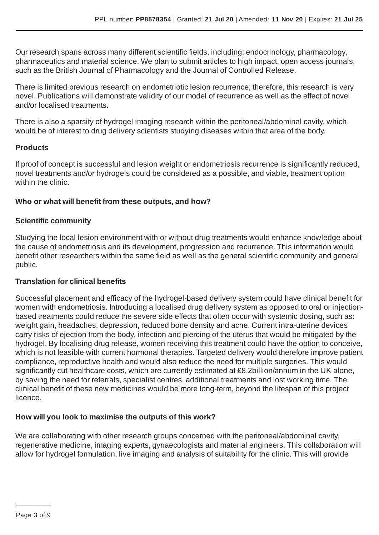Our research spans across many different scientific fields, including: endocrinology, pharmacology, pharmaceutics and material science. We plan to submit articles to high impact, open access journals, such as the British Journal of Pharmacology and the Journal of Controlled Release.

There is limited previous research on endometriotic lesion recurrence; therefore, this research is very novel. Publications will demonstrate validity of our model of recurrence as well as the effect of novel and/or localised treatments.

There is also a sparsity of hydrogel imaging research within the peritoneal/abdominal cavity, which would be of interest to drug delivery scientists studying diseases within that area of the body.

#### **Products**

If proof of concept is successful and lesion weight or endometriosis recurrence is significantly reduced, novel treatments and/or hydrogels could be considered as a possible, and viable, treatment option within the clinic.

#### **Who or what will benefit from these outputs, and how?**

#### **Scientific community**

Studying the local lesion environment with or without drug treatments would enhance knowledge about the cause of endometriosis and its development, progression and recurrence. This information would benefit other researchers within the same field as well as the general scientific community and general public.

#### **Translation for clinical benefits**

Successful placement and efficacy of the hydrogel-based delivery system could have clinical benefit for women with endometriosis. Introducing a localised drug delivery system as opposed to oral or injectionbased treatments could reduce the severe side effects that often occur with systemic dosing, such as: weight gain, headaches, depression, reduced bone density and acne. Current intra-uterine devices carry risks of ejection from the body, infection and piercing of the uterus that would be mitigated by the hydrogel. By localising drug release, women receiving this treatment could have the option to conceive, which is not feasible with current hormonal therapies. Targeted delivery would therefore improve patient compliance, reproductive health and would also reduce the need for multiple surgeries. This would significantly cut healthcare costs, which are currently estimated at £8.2billion/annum in the UK alone, by saving the need for referrals, specialist centres, additional treatments and lost working time. The clinical benefit of these new medicines would be more long-term, beyond the lifespan of this project licence.

#### **How will you look to maximise the outputs of this work?**

We are collaborating with other research groups concerned with the peritoneal/abdominal cavity, regenerative medicine, imaging experts, gynaecologists and material engineers. This collaboration will allow for hydrogel formulation, live imaging and analysis of suitability for the clinic. This will provide

Page 3 of 9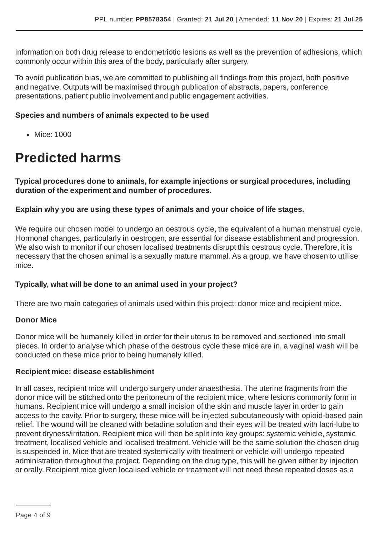information on both drug release to endometriotic lesions as well as the prevention of adhesions, which commonly occur within this area of the body, particularly after surgery.

To avoid publication bias, we are committed to publishing all findings from this project, both positive and negative. Outputs will be maximised through publication of abstracts, papers, conference presentations, patient public involvement and public engagement activities.

#### **Species and numbers of animals expected to be used**

• Mice: 1000

### **Predicted harms**

**Typical procedures done to animals, for example injections or surgical procedures, including duration of the experiment and number of procedures.**

#### **Explain why you are using these types of animals and your choice of life stages.**

We require our chosen model to undergo an oestrous cycle, the equivalent of a human menstrual cycle. Hormonal changes, particularly in oestrogen, are essential for disease establishment and progression. We also wish to monitor if our chosen localised treatments disrupt this oestrous cycle. Therefore, it is necessary that the chosen animal is a sexually mature mammal.As a group, we have chosen to utilise mice.

#### **Typically, what will be done to an animal used in your project?**

There are two main categories of animals used within this project: donor mice and recipient mice.

#### **Donor Mice**

Donor mice will be humanely killed in order for their uterus to be removed and sectioned into small pieces. In order to analyse which phase of the oestrous cycle these mice are in, a vaginal wash will be conducted on these mice prior to being humanely killed.

#### **Recipient mice: disease establishment**

In all cases, recipient mice will undergo surgery under anaesthesia. The uterine fragments from the donor mice will be stitched onto the peritoneum of the recipient mice, where lesions commonly form in humans. Recipient mice will undergo a small incision of the skin and muscle layer in order to gain access to the cavity. Prior to surgery, these mice will be injected subcutaneously with opioid-based pain relief. The wound will be cleaned with betadine solution and their eyes will be treated with lacri-lube to prevent dryness/irritation. Recipient mice will then be split into key groups: systemic vehicle, systemic treatment, localised vehicle and localised treatment. Vehicle will be the same solution the chosen drug is suspended in. Mice that are treated systemically with treatment or vehicle will undergo repeated administration throughout the project. Depending on the drug type, this will be given either by injection or orally. Recipient mice given localised vehicle or treatment will not need these repeated doses as a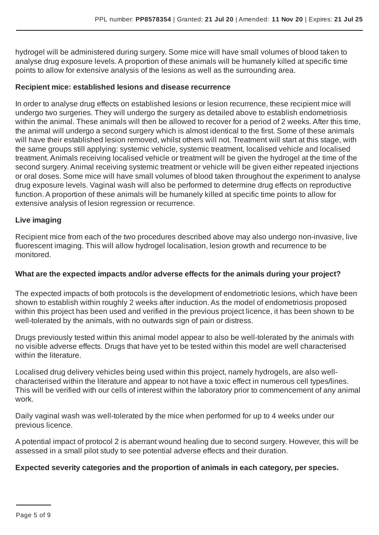hydrogel will be administered during surgery. Some mice will have small volumes of blood taken to analyse drug exposure levels. A proportion of these animals will be humanely killed at specific time points to allow for extensive analysis of the lesions as well as the surrounding area.

#### **Recipient mice: established lesions and disease recurrence**

In order to analyse drug effects on established lesions or lesion recurrence, these recipient mice will undergo two surgeries. They will undergo the surgery as detailed above to establish endometriosis within the animal. These animals will then be allowed to recover for a period of 2 weeks. After this time, the animal will undergo a second surgery which is almost identical to the first. Some of these animals will have their established lesion removed, whilst others will not. Treatment will start at this stage, with the same groups still applying: systemic vehicle, systemic treatment, localised vehicle and localised treatment.Animals receiving localised vehicle or treatment will be given the hydrogel at the time of the second surgery. Animal receiving systemic treatment or vehicle will be given either repeated injections or oral doses. Some mice will have small volumes of blood taken throughout the experiment to analyse drug exposure levels. Vaginal wash will also be performed to determine drug effects on reproductive function.A proportion of these animals will be humanely killed at specific time points to allow for extensive analysis of lesion regression or recurrence.

#### **Live imaging**

Recipient mice from each of the two procedures described above may also undergo non-invasive, live fluorescent imaging. This will allow hydrogel localisation, lesion growth and recurrence to be monitored.

#### **What are the expected impacts and/or adverse effects for the animals during your project?**

The expected impacts of both protocols is the development of endometriotic lesions, which have been shown to establish within roughly 2 weeks after induction.As the model of endometriosis proposed within this project has been used and verified in the previous project licence, it has been shown to be well-tolerated by the animals, with no outwards sign of pain or distress.

Drugs previously tested within this animal model appear to also be well-tolerated by the animals with no visible adverse effects. Drugs that have yet to be tested within this model are well characterised within the literature.

Localised drug delivery vehicles being used within this project, namely hydrogels, are also wellcharacterised within the literature and appear to not have a toxic effect in numerous cell types/lines. This will be verified with our cells of interest within the laboratory prior to commencement of any animal work.

Daily vaginal wash was well-tolerated by the mice when performed for up to 4 weeks under our previous licence.

A potential impact of protocol 2 is aberrant wound healing due to second surgery. However, this will be assessed in a small pilot study to see potential adverse effects and their duration.

#### **Expected severity categories and the proportion of animals in each category, per species.**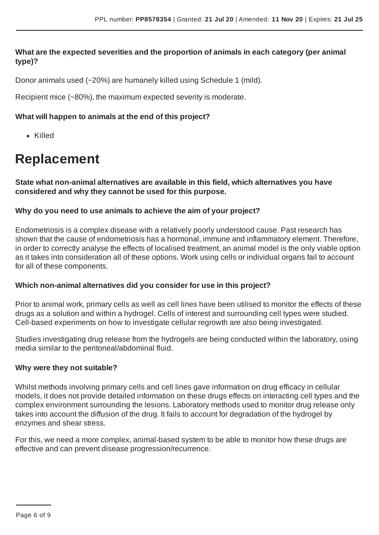#### **What are the expected severities and the proportion of animals in each category (per animal type)?**

Donor animals used (~20%) are humanely killed using Schedule 1 (mild).

Recipient mice (~80%), the maximum expected severity is moderate.

#### **What will happen to animals at the end of this project?**

• Killed

## **Replacement**

**State what non-animal alternatives are available in this field, which alternatives you have considered and why they cannot be used for this purpose.**

#### **Why do you need to use animals to achieve the aim of your project?**

Endometriosis is a complex disease with a relatively poorly understood cause. Past research has shown that the cause of endometriosis has a hormonal, immune and inflammatory element. Therefore, in order to correctly analyse the effects of localised treatment, an animal model is the only viable option as it takes into consideration all of these options. Work using cells or individual organs fail to account for all of these components.

#### **Which non-animal alternatives did you consider for use in this project?**

Prior to animal work, primary cells as well as cell lines have been utilised to monitor the effects of these drugs as a solution and within a hydrogel. Cells of interest and surrounding cell types were studied. Cell-based experiments on how to investigate cellular regrowth are also being investigated.

Studies investigating drug release from the hydrogels are being conducted within the laboratory, using media similar to the peritoneal/abdominal fluid.

#### **Why were they not suitable?**

Whilst methods involving primary cells and cell lines gave information on drug efficacy in cellular models, it does not provide detailed information on these drugs effects on interacting cell types and the complex environment surrounding the lesions. Laboratory methods used to monitor drug release only takes into account the diffusion of the drug. It fails to account for degradation of the hydrogel by enzymes and shear stress.

For this, we need a more complex, animal-based system to be able to monitor how these drugs are effective and can prevent disease progression/recurrence.

Page 6 of 9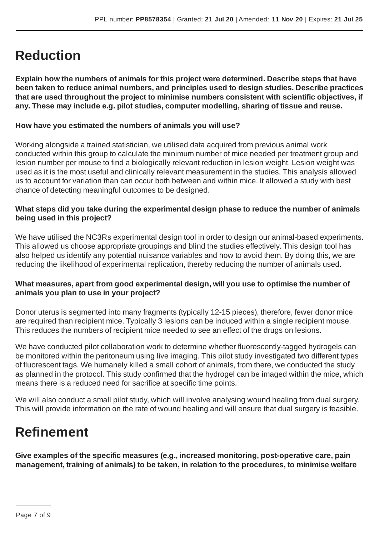### **Reduction**

**Explain how the numbers of animals for this project were determined. Describe steps that have been taken to reduce animal numbers, and principles used to design studies. Describe practices that are used throughout the project to minimise numbers consistent with scientific objectives, if any. These may include e.g. pilot studies, computer modelling, sharing of tissue and reuse.**

#### **How have you estimated the numbers of animals you will use?**

Working alongside a trained statistician, we utilised data acquired from previous animal work conducted within this group to calculate the minimum number of mice needed per treatment group and lesion number per mouse to find a biologically relevant reduction in lesion weight. Lesion weight was used as it is the most useful and clinically relevant measurement in the studies. This analysis allowed us to account for variation than can occur both between and within mice. It allowed a study with best chance of detecting meaningful outcomes to be designed.

#### **What steps did you take during the experimental design phase to reduce the number of animals being used in this project?**

We have utilised the NC3Rs experimental design tool in order to design our animal-based experiments. This allowed us choose appropriate groupings and blind the studies effectively. This design tool has also helped us identify any potential nuisance variables and how to avoid them. By doing this, we are reducing the likelihood of experimental replication, thereby reducing the number of animals used.

#### **What measures, apart from good experimental design, will you use to optimise the number of animals you plan to use in your project?**

Donor uterus is segmented into many fragments (typically 12-15 pieces), therefore, fewer donor mice are required than recipient mice. Typically 3 lesions can be induced within a single recipient mouse. This reduces the numbers of recipient mice needed to see an effect of the drugs on lesions.

We have conducted pilot collaboration work to determine whether fluorescently-tagged hydrogels can be monitored within the peritoneum using live imaging. This pilot study investigated two different types of fluorescent tags. We humanely killed a small cohort of animals, from there, we conducted the study as planned in the protocol. This study confirmed that the hydrogel can be imaged within the mice, which means there is a reduced need for sacrifice at specific time points.

We will also conduct a small pilot study, which will involve analysing wound healing from dual surgery. This will provide information on the rate of wound healing and will ensure that dual surgery is feasible.

## **Refinement**

**Give examples of the specific measures (e.g., increased monitoring, post-operative care, pain management, training of animals) to be taken, in relation to the procedures, to minimise welfare**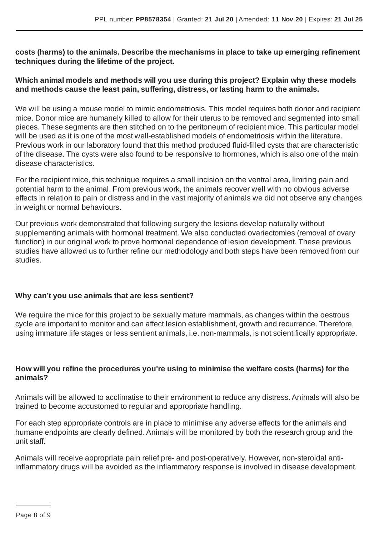#### **costs (harms) to the animals. Describe the mechanisms in place to take up emerging refinement techniques during the lifetime of the project.**

#### **Which animal models and methods will you use during this project? Explain why these models and methods cause the least pain, suffering, distress, or lasting harm to the animals.**

We will be using a mouse model to mimic endometriosis. This model requires both donor and recipient mice. Donor mice are humanely killed to allow for their uterus to be removed and segmented into small pieces. These segments are then stitched on to the peritoneum of recipient mice. This particular model will be used as it is one of the most well-established models of endometriosis within the literature. Previous work in our laboratory found that this method produced fluid-filled cysts that are characteristic of the disease. The cysts were also found to be responsive to hormones, which is also one of the main disease characteristics.

For the recipient mice, this technique requires a small incision on the ventral area, limiting pain and potential harm to the animal. From previous work, the animals recover well with no obvious adverse effects in relation to pain or distress and in the vast majority of animals we did not observe any changes in weight or normal behaviours.

Our previous work demonstrated that following surgery the lesions develop naturally without supplementing animals with hormonal treatment. We also conducted ovariectomies (removal of ovary function) in our original work to prove hormonal dependence of lesion development. These previous studies have allowed us to further refine our methodology and both steps have been removed from our studies.

#### **Why can't you use animals that are less sentient?**

We require the mice for this project to be sexually mature mammals, as changes within the oestrous cycle are important to monitor and can affect lesion establishment, growth and recurrence. Therefore, using immature life stages or less sentient animals, i.e. non-mammals, is not scientifically appropriate.

#### **How will you refine the procedures you're using to minimise the welfare costs (harms) for the animals?**

Animals will be allowed to acclimatise to their environment to reduce any distress.Animals will also be trained to become accustomed to regular and appropriate handling.

For each step appropriate controls are in place to minimise any adverse effects for the animals and humane endpoints are clearly defined. Animals will be monitored by both the research group and the unit staff.

Animals will receive appropriate pain relief pre- and post-operatively. However, non-steroidal antiinflammatory drugs will be avoided as the inflammatory response is involved in disease development.

Page 8 of 9